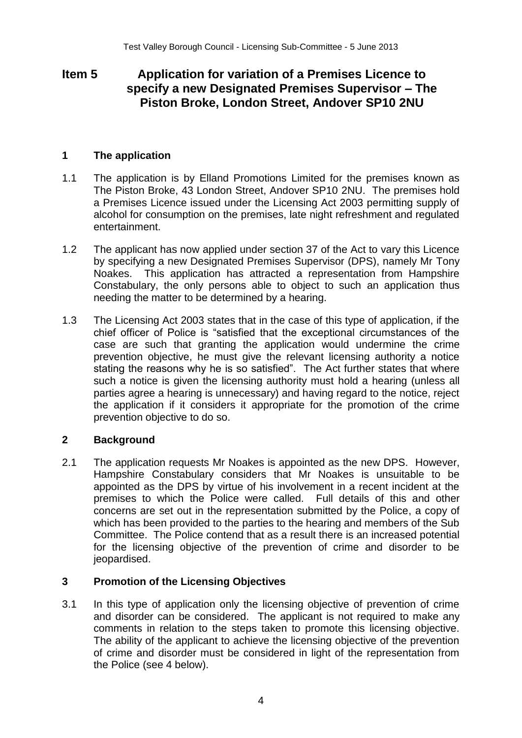# **Item 5 Application for variation of a Premises Licence to specify a new Designated Premises Supervisor – The Piston Broke, London Street, Andover SP10 2NU**

### **1 The application**

- 1.1 The application is by Elland Promotions Limited for the premises known as The Piston Broke, 43 London Street, Andover SP10 2NU. The premises hold a Premises Licence issued under the Licensing Act 2003 permitting supply of alcohol for consumption on the premises, late night refreshment and regulated entertainment.
- 1.2 The applicant has now applied under section 37 of the Act to vary this Licence by specifying a new Designated Premises Supervisor (DPS), namely Mr Tony Noakes. This application has attracted a representation from Hampshire Constabulary, the only persons able to object to such an application thus needing the matter to be determined by a hearing.
- 1.3 The Licensing Act 2003 states that in the case of this type of application, if the chief officer of Police is "satisfied that the exceptional circumstances of the case are such that granting the application would undermine the crime prevention objective, he must give the relevant licensing authority a notice stating the reasons why he is so satisfied". The Act further states that where such a notice is given the licensing authority must hold a hearing (unless all parties agree a hearing is unnecessary) and having regard to the notice, reject the application if it considers it appropriate for the promotion of the crime prevention objective to do so.

# **2 Background**

2.1 The application requests Mr Noakes is appointed as the new DPS. However, Hampshire Constabulary considers that Mr Noakes is unsuitable to be appointed as the DPS by virtue of his involvement in a recent incident at the premises to which the Police were called. Full details of this and other concerns are set out in the representation submitted by the Police, a copy of which has been provided to the parties to the hearing and members of the Sub Committee. The Police contend that as a result there is an increased potential for the licensing objective of the prevention of crime and disorder to be jeopardised.

# **3 Promotion of the Licensing Objectives**

3.1 In this type of application only the licensing objective of prevention of crime and disorder can be considered. The applicant is not required to make any comments in relation to the steps taken to promote this licensing objective. The ability of the applicant to achieve the licensing objective of the prevention of crime and disorder must be considered in light of the representation from the Police (see 4 below).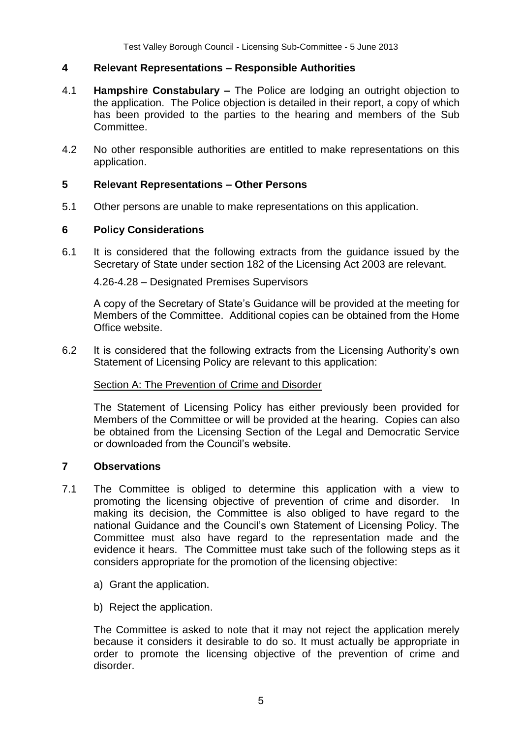### **4 Relevant Representations – Responsible Authorities**

- 4.1 **Hampshire Constabulary –** The Police are lodging an outright objection to the application. The Police objection is detailed in their report, a copy of which has been provided to the parties to the hearing and members of the Sub Committee.
- 4.2 No other responsible authorities are entitled to make representations on this application.

#### **5 Relevant Representations – Other Persons**

5.1 Other persons are unable to make representations on this application.

### **6 Policy Considerations**

6.1 It is considered that the following extracts from the guidance issued by the Secretary of State under section 182 of the Licensing Act 2003 are relevant.

4.26-4.28 – Designated Premises Supervisors

A copy of the Secretary of State's Guidance will be provided at the meeting for Members of the Committee. Additional copies can be obtained from the Home Office website.

6.2 It is considered that the following extracts from the Licensing Authority's own Statement of Licensing Policy are relevant to this application:

#### Section A: The Prevention of Crime and Disorder

The Statement of Licensing Policy has either previously been provided for Members of the Committee or will be provided at the hearing. Copies can also be obtained from the Licensing Section of the Legal and Democratic Service or downloaded from the Council's website.

#### **7 Observations**

- 7.1 The Committee is obliged to determine this application with a view to promoting the licensing objective of prevention of crime and disorder. In making its decision, the Committee is also obliged to have regard to the national Guidance and the Council's own Statement of Licensing Policy. The Committee must also have regard to the representation made and the evidence it hears. The Committee must take such of the following steps as it considers appropriate for the promotion of the licensing objective:
	- a) Grant the application.
	- b) Reject the application.

The Committee is asked to note that it may not reject the application merely because it considers it desirable to do so. It must actually be appropriate in order to promote the licensing objective of the prevention of crime and disorder.